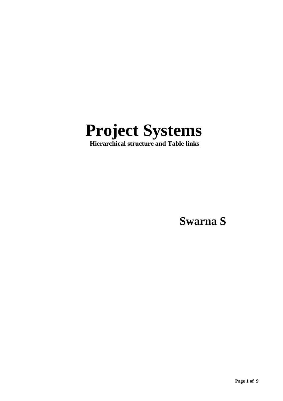

 **Hierarchical structure and Table links**

**Swarna S**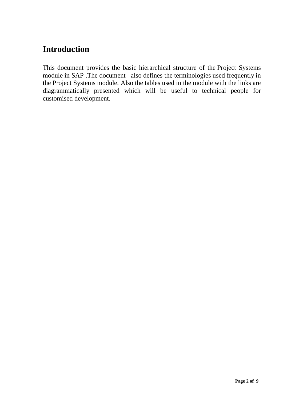# **Introduction**

This document provides the basic hierarchical structure of the Project Systems module in SAP .The document also defines the terminologies used frequently in the Project Systems module. Also the tables used in the module with the links are diagrammatically presented which will be useful to technical people for customised development.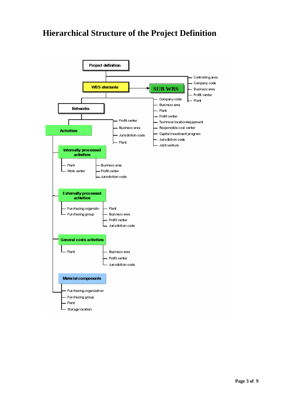# **Hierarchical Structure of the Project Definition**

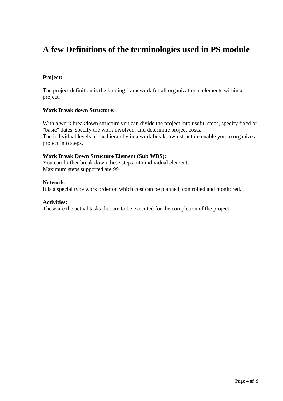## **A few Definitions of the terminologies used in PS module**

### **Project:**

The project definition is the binding framework for all organizational elements within a project.

### **Work Break down Structure:**

With a work breakdown structure you can divide the project into useful steps, specify fixed or "basic" dates, specify the work involved, and determine project costs. The individual levels of the hierarchy in a work breakdown structure enable you to organize a project into steps.

### **Work Break Down Structure Element (Sub WBS):**

You can further break down these steps into individual elements Maximum steps supported are 99.

#### **Network:**

It is a special type work order on which cost can be planned, controlled and monitored.

#### **Activities:**

These are the actual tasks that are to be executed for the completion of the project.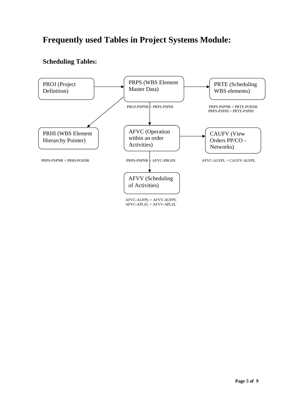# **Frequently used Tables in Project Systems Module:**

### **Scheduling Tables:**



AFVC-APLZL = AFVV-APLZL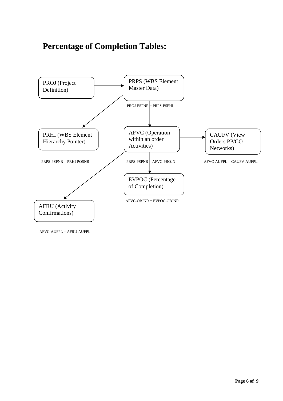# **Percentage of Completion Tables:**



AFVC-AUFPL = AFRU-AUFPL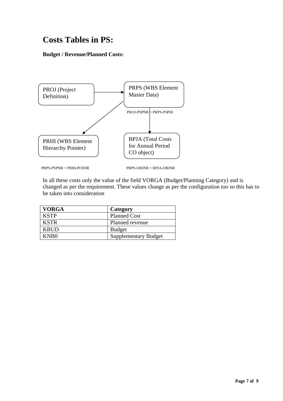# **Costs Tables in PS:**

**Budget / Revenue/Planned Costs:**



PRPS-PSPNR = PRHI-POSNR PRPS-OBJNR = BPJA-OBJNR

In all these costs only the value of the field VORGA (Budget/Planning Category) and is changed as per the requirement. These values change as per the configuration too so this has to be taken into consideration

| <b>VORGA</b>     | Category                    |
|------------------|-----------------------------|
| <b>KSTP</b>      | <b>Planned Cost</b>         |
| <b>KSTR</b>      | Planned revenue             |
| <b>KBUD</b>      | <b>Budget</b>               |
| KNB <sub>0</sub> | <b>Supplementary Budget</b> |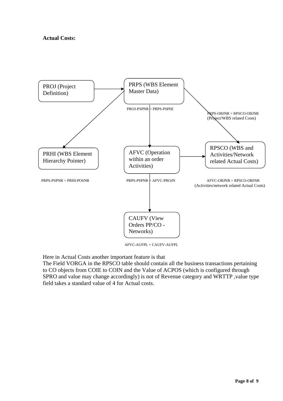### **Actual Costs:**



AFVC-AUFPL = CAUFV-AUFPL

Here in Actual Costs another important feature is that

The Field VORGA in the RPSCO table should contain all the business transactions pertaining to CO objects from COIE to COIN and the Value of ACPOS (which is configured through SPRO and value may change accordingly) is not of Revenue category and WRTTP ,value type field takes a standard value of 4 for Actual costs.